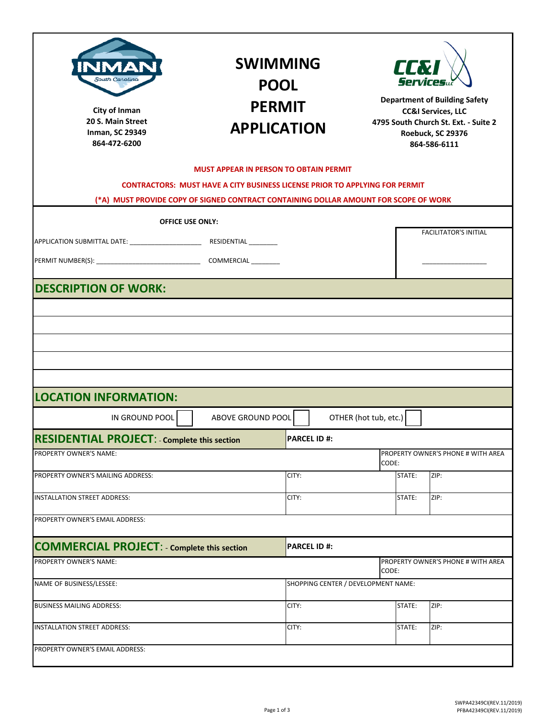| City of Inman<br>20 S. Main Street<br><b>Inman, SC 29349</b><br>864-472-6200                                                                                                                                     | <b>SWIMMING</b><br><b>POOL</b><br><b>PERMIT</b><br><b>APPLICATION</b>                                                                                                      |                     |                                     | LLX<br><b>Services</b><br><b>Department of Building Safety</b><br><b>CC&amp;I Services, LLC</b><br>4795 South Church St. Ext. - Suite 2<br>Roebuck, SC 29376<br>864-586-6111 |        |                                    |
|------------------------------------------------------------------------------------------------------------------------------------------------------------------------------------------------------------------|----------------------------------------------------------------------------------------------------------------------------------------------------------------------------|---------------------|-------------------------------------|------------------------------------------------------------------------------------------------------------------------------------------------------------------------------|--------|------------------------------------|
|                                                                                                                                                                                                                  | <b>MUST APPEAR IN PERSON TO OBTAIN PERMIT</b>                                                                                                                              |                     |                                     |                                                                                                                                                                              |        |                                    |
|                                                                                                                                                                                                                  | <b>CONTRACTORS: MUST HAVE A CITY BUSINESS LICENSE PRIOR TO APPLYING FOR PERMIT</b><br>(*A) MUST PROVIDE COPY OF SIGNED CONTRACT CONTAINING DOLLAR AMOUNT FOR SCOPE OF WORK |                     |                                     |                                                                                                                                                                              |        |                                    |
|                                                                                                                                                                                                                  |                                                                                                                                                                            |                     |                                     |                                                                                                                                                                              |        |                                    |
|                                                                                                                                                                                                                  | <b>OFFICE USE ONLY:</b>                                                                                                                                                    |                     |                                     |                                                                                                                                                                              |        | <b>FACILITATOR'S INITIAL</b>       |
|                                                                                                                                                                                                                  |                                                                                                                                                                            |                     |                                     |                                                                                                                                                                              |        |                                    |
|                                                                                                                                                                                                                  |                                                                                                                                                                            |                     |                                     |                                                                                                                                                                              |        |                                    |
|                                                                                                                                                                                                                  |                                                                                                                                                                            |                     |                                     |                                                                                                                                                                              |        |                                    |
| <b>LOCATION INFORMATION:</b><br>IN GROUND POOL                                                                                                                                                                   | ABOVE GROUND POOL                                                                                                                                                          |                     |                                     | OTHER (hot tub, etc.)                                                                                                                                                        |        |                                    |
| <b>RESIDENTIAL PROJECT:</b> Complete this section<br>PROPERTY OWNER'S NAME:                                                                                                                                      |                                                                                                                                                                            | PARCEL ID #:        |                                     |                                                                                                                                                                              |        | PROPERTY OWNER'S PHONE # WITH AREA |
|                                                                                                                                                                                                                  |                                                                                                                                                                            |                     |                                     | CODE:                                                                                                                                                                        |        |                                    |
|                                                                                                                                                                                                                  |                                                                                                                                                                            | CITY:               |                                     |                                                                                                                                                                              | STATE: | ZIP:                               |
|                                                                                                                                                                                                                  |                                                                                                                                                                            | CITY:               |                                     |                                                                                                                                                                              | STATE: | ZIP:                               |
|                                                                                                                                                                                                                  |                                                                                                                                                                            |                     |                                     |                                                                                                                                                                              |        |                                    |
|                                                                                                                                                                                                                  |                                                                                                                                                                            | <b>PARCEL ID #:</b> |                                     |                                                                                                                                                                              |        |                                    |
|                                                                                                                                                                                                                  |                                                                                                                                                                            |                     |                                     | CODE:                                                                                                                                                                        |        | PROPERTY OWNER'S PHONE # WITH AREA |
| PROPERTY OWNER'S MAILING ADDRESS:<br>INSTALLATION STREET ADDRESS:<br>PROPERTY OWNER'S EMAIL ADDRESS:<br><b>COMMERCIAL PROJECT: - Complete this section</b><br>PROPERTY OWNER'S NAME:<br>NAME OF BUSINESS/LESSEE: |                                                                                                                                                                            |                     | SHOPPING CENTER / DEVELOPMENT NAME: |                                                                                                                                                                              |        |                                    |
| <b>BUSINESS MAILING ADDRESS:</b>                                                                                                                                                                                 |                                                                                                                                                                            | CITY:               |                                     |                                                                                                                                                                              | STATE: | ZIP:                               |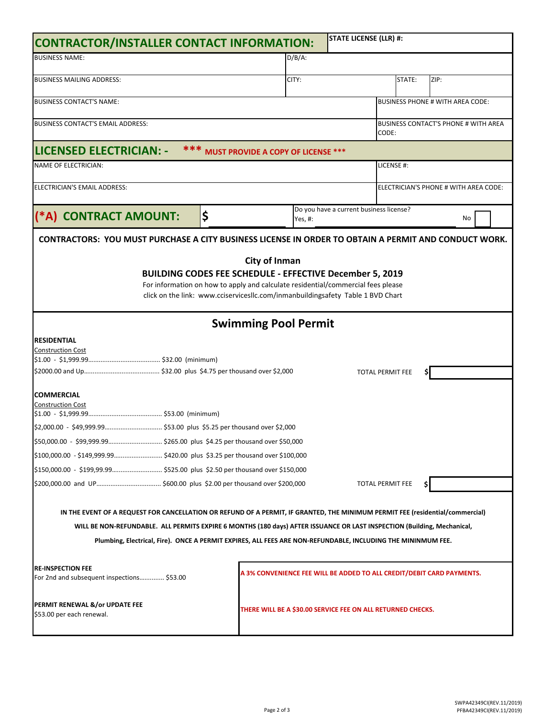| <b>STATE LICENSE (LLR) #:</b><br>CONTRACTOR/INSTALLER CONTACT INFORMATION:                                                                                                                                                                                                                                                                                               |                                                             |                                        |         |                                         |                                             |                                                                       |
|--------------------------------------------------------------------------------------------------------------------------------------------------------------------------------------------------------------------------------------------------------------------------------------------------------------------------------------------------------------------------|-------------------------------------------------------------|----------------------------------------|---------|-----------------------------------------|---------------------------------------------|-----------------------------------------------------------------------|
| <b>BUSINESS NAME:</b>                                                                                                                                                                                                                                                                                                                                                    |                                                             | $D/B/A$ :                              |         |                                         |                                             |                                                                       |
| <b>BUSINESS MAILING ADDRESS:</b>                                                                                                                                                                                                                                                                                                                                         |                                                             |                                        | CITY:   |                                         | STATE:                                      | ZIP:                                                                  |
| <b>BUSINESS CONTACT'S NAME:</b>                                                                                                                                                                                                                                                                                                                                          |                                                             |                                        |         |                                         |                                             | <b>BUSINESS PHONE # WITH AREA CODE:</b>                               |
|                                                                                                                                                                                                                                                                                                                                                                          |                                                             |                                        |         |                                         |                                             |                                                                       |
| <b>BUSINESS CONTACT'S EMAIL ADDRESS:</b>                                                                                                                                                                                                                                                                                                                                 |                                                             |                                        |         | CODE:                                   | <b>BUSINESS CONTACT'S PHONE # WITH AREA</b> |                                                                       |
| LICENSED ELECTRICIAN: -                                                                                                                                                                                                                                                                                                                                                  |                                                             | *** MUST PROVIDE A COPY OF LICENSE *** |         |                                         |                                             |                                                                       |
| <b>NAME OF ELECTRICIAN:</b>                                                                                                                                                                                                                                                                                                                                              |                                                             |                                        |         |                                         | LICENSE #:                                  |                                                                       |
| ELECTRICIAN'S EMAIL ADDRESS:                                                                                                                                                                                                                                                                                                                                             |                                                             |                                        |         |                                         |                                             | ELECTRICIAN'S PHONE # WITH AREA CODE:                                 |
| (*A) CONTRACT AMOUNT:                                                                                                                                                                                                                                                                                                                                                    | \$                                                          |                                        | Yes, #: | Do you have a current business license? |                                             | No                                                                    |
| <b>CONTRACTORS: YOU MUST PURCHASE A CITY BUSINESS LICENSE IN ORDER TO OBTAIN A PERMIT AND CONDUCT WORK.</b>                                                                                                                                                                                                                                                              |                                                             |                                        |         |                                         |                                             |                                                                       |
| BUILDING CODES FEE SCHEDULE - EFFECTIVE December 5, 2019<br>For information on how to apply and calculate residential/commercial fees please<br>click on the link: www.cciservicesllc.com/inmanbuildingsafety Table 1 BVD Chart                                                                                                                                          |                                                             | <b>City of Inman</b>                   |         |                                         |                                             |                                                                       |
|                                                                                                                                                                                                                                                                                                                                                                          |                                                             | <b>Swimming Pool Permit</b>            |         |                                         |                                             |                                                                       |
| <b>RESIDENTIAL</b><br><b>Construction Cost</b>                                                                                                                                                                                                                                                                                                                           |                                                             |                                        |         |                                         | <b>TOTAL PERMIT FEE</b>                     |                                                                       |
| <b>COMMERCIAL</b><br><b>Construction Cost</b>                                                                                                                                                                                                                                                                                                                            |                                                             |                                        |         |                                         |                                             |                                                                       |
|                                                                                                                                                                                                                                                                                                                                                                          |                                                             |                                        |         |                                         |                                             |                                                                       |
|                                                                                                                                                                                                                                                                                                                                                                          |                                                             |                                        |         |                                         |                                             |                                                                       |
|                                                                                                                                                                                                                                                                                                                                                                          |                                                             |                                        |         |                                         |                                             |                                                                       |
|                                                                                                                                                                                                                                                                                                                                                                          |                                                             |                                        |         |                                         | <b>TOTAL PERMIT FEE</b>                     |                                                                       |
| IN THE EVENT OF A REQUEST FOR CANCELLATION OR REFUND OF A PERMIT, IF GRANTED, THE MINIMUM PERMIT FEE (residential/commercial)<br>WILL BE NON-REFUNDABLE. ALL PERMITS EXPIRE 6 MONTHS (180 days) AFTER ISSUANCE OR LAST INSPECTION (Building, Mechanical,<br>Plumbing, Electrical, Fire). ONCE A PERMIT EXPIRES, ALL FEES ARE NON-REFUNDABLE, INCLUDING THE MININMUM FEE. |                                                             |                                        |         |                                         |                                             |                                                                       |
| <b>RE-INSPECTION FEE</b><br>For 2nd and subsequent inspections \$53.00                                                                                                                                                                                                                                                                                                   |                                                             |                                        |         |                                         |                                             | A 3% CONVENIENCE FEE WILL BE ADDED TO ALL CREDIT/DEBIT CARD PAYMENTS. |
| PERMIT RENEWAL &/or UPDATE FEE<br>\$53.00 per each renewal.                                                                                                                                                                                                                                                                                                              | THERE WILL BE A \$30.00 SERVICE FEE ON ALL RETURNED CHECKS. |                                        |         |                                         |                                             |                                                                       |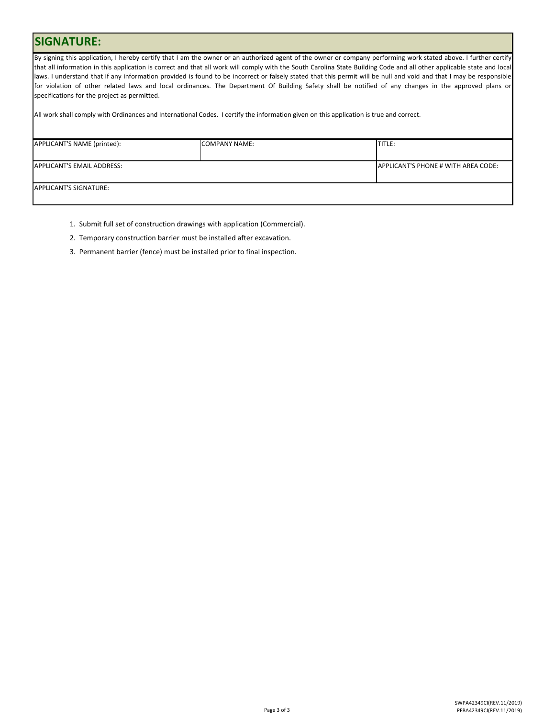## **SIGNATURE:**

By signing this application, I hereby certify that I am the owner or an authorized agent of the owner or company performing work stated above. I further certify that all information in this application is correct and that all work will comply with the South Carolina State Building Code and all other applicable state and local laws. I understand that if any information provided is found to be incorrect or falsely stated that this permit will be null and void and that I may be responsible for violation of other related laws and local ordinances. The Department Of Building Safety shall be notified of any changes in the approved plans or specifications for the project as permitted.

All work shall comply with Ordinances and International Codes. I certify the information given on this application is true and correct.

| APPLICANT'S NAME (printed): | <b>COMPANY NAME:</b> | TITLE:                              |
|-----------------------------|----------------------|-------------------------------------|
|                             |                      |                                     |
|                             |                      |                                     |
| APPLICANT'S EMAIL ADDRESS:  |                      | APPLICANT'S PHONE # WITH AREA CODE: |
|                             |                      |                                     |
|                             |                      |                                     |
| APPLICANT'S SIGNATURE:      |                      |                                     |
|                             |                      |                                     |
|                             |                      |                                     |

- 1. Submit full set of construction drawings with application (Commercial).
- 2. Temporary construction barrier must be installed after excavation.
- 3. Permanent barrier (fence) must be installed prior to final inspection.